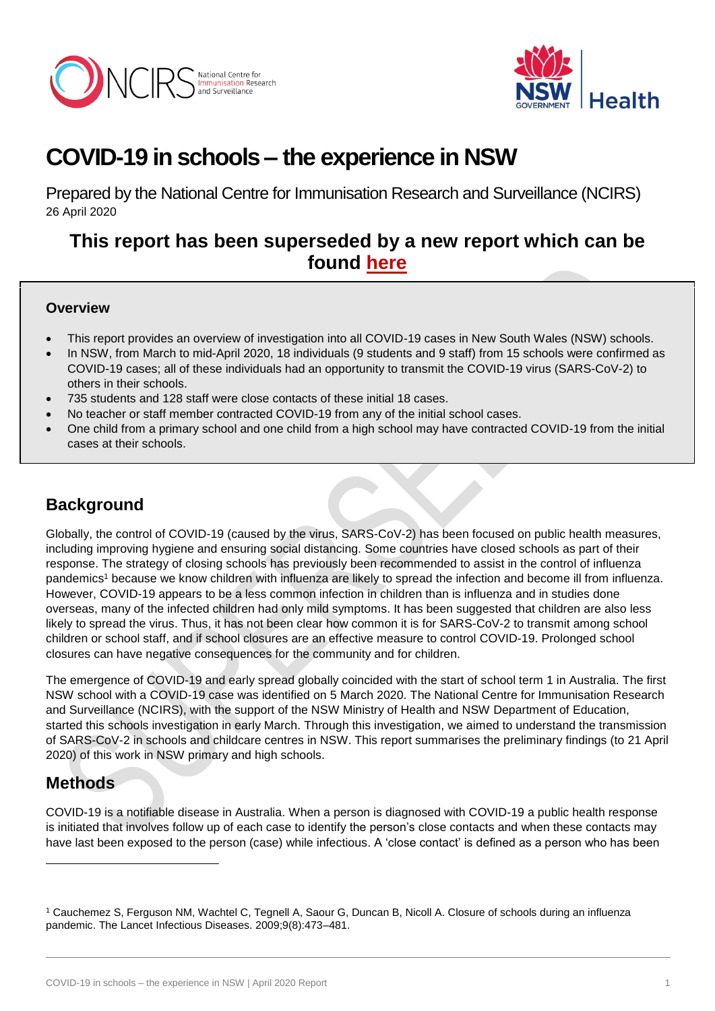



# **COVID-19 in schools – the experience in NSW**

Prepared by the National Centre for Immunisation Research and Surveillance (NCIRS) 26 April 2020

# **This report has been superseded by a new report which can be found [here](http://ncirs.org.au/reports)**

### **Overview**

- This report provides an overview of investigation into all COVID-19 cases in New South Wales (NSW) schools.
- In NSW, from March to mid-April 2020, 18 individuals (9 students and 9 staff) from 15 schools were confirmed as COVID-19 cases; all of these individuals had an opportunity to transmit the COVID-19 virus (SARS-CoV-2) to others in their schools.
- 735 students and 128 staff were close contacts of these initial 18 cases.
- No teacher or staff member contracted COVID-19 from any of the initial school cases.
- One child from a primary school and one child from a high school may have contracted COVID-19 from the initial cases at their schools.

# **Background**

Globally, the control of COVID-19 (caused by the virus, SARS-CoV-2) has been focused on public health measures, including improving hygiene and ensuring social distancing. Some countries have closed schools as part of their response. The strategy of closing schools has previously been recommended to assist in the control of influenza pandemics<sup>1</sup> because we know children with influenza are likely to spread the infection and become ill from influenza. However, COVID-19 appears to be a less common infection in children than is influenza and in studies done overseas, many of the infected children had only mild symptoms. It has been suggested that children are also less likely to spread the virus. Thus, it has not been clear how common it is for SARS-CoV-2 to transmit among school children or school staff, and if school closures are an effective measure to control COVID-19. Prolonged school closures can have negative consequences for the community and for children.

The emergence of COVID-19 and early spread globally coincided with the start of school term 1 in Australia. The first NSW school with a COVID-19 case was identified on 5 March 2020. The National Centre for Immunisation Research and Surveillance (NCIRS), with the support of the NSW Ministry of Health and NSW Department of Education, started this schools investigation in early March. Through this investigation, we aimed to understand the transmission of SARS-CoV-2 in schools and childcare centres in NSW. This report summarises the preliminary findings (to 21 April 2020) of this work in NSW primary and high schools.

# **Methods**

-

COVID-19 is a notifiable disease in Australia. When a person is diagnosed with COVID-19 a public health response is initiated that involves follow up of each case to identify the person's close contacts and when these contacts may have last been exposed to the person (case) while infectious. A 'close contact' is defined as a person who has been

<sup>1</sup> Cauchemez S, Ferguson NM, Wachtel C, Tegnell A, Saour G, Duncan B, Nicoll A. Closure of schools during an influenza pandemic. The Lancet Infectious Diseases. 2009;9(8):473–481.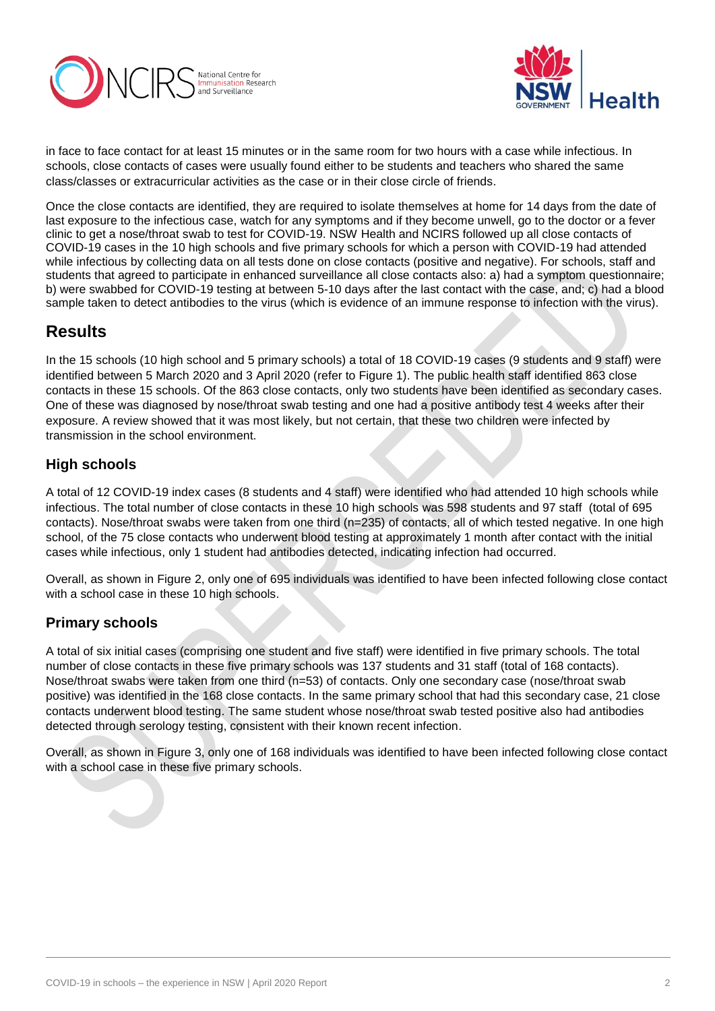



in face to face contact for at least 15 minutes or in the same room for two hours with a case while infectious. In schools, close contacts of cases were usually found either to be students and teachers who shared the same class/classes or extracurricular activities as the case or in their close circle of friends.

Once the close contacts are identified, they are required to isolate themselves at home for 14 days from the date of last exposure to the infectious case, watch for any symptoms and if they become unwell, go to the doctor or a fever clinic to get a nose/throat swab to test for COVID-19. NSW Health and NCIRS followed up all close contacts of COVID-19 cases in the 10 high schools and five primary schools for which a person with COVID-19 had attended while infectious by collecting data on all tests done on close contacts (positive and negative). For schools, staff and students that agreed to participate in enhanced surveillance all close contacts also: a) had a symptom questionnaire; b) were swabbed for COVID-19 testing at between 5-10 days after the last contact with the case, and; c) had a blood sample taken to detect antibodies to the virus (which is evidence of an immune response to infection with the virus).

### **Results**

In the 15 schools (10 high school and 5 primary schools) a total of 18 COVID-19 cases (9 students and 9 staff) were identified between 5 March 2020 and 3 April 2020 (refer to Figure 1). The public health staff identified 863 close contacts in these 15 schools. Of the 863 close contacts, only two students have been identified as secondary cases. One of these was diagnosed by nose/throat swab testing and one had a positive antibody test 4 weeks after their exposure. A review showed that it was most likely, but not certain, that these two children were infected by transmission in the school environment.

### **High schools**

A total of 12 COVID-19 index cases (8 students and 4 staff) were identified who had attended 10 high schools while infectious. The total number of close contacts in these 10 high schools was 598 students and 97 staff (total of 695 contacts). Nose/throat swabs were taken from one third (n=235) of contacts, all of which tested negative. In one high school, of the 75 close contacts who underwent blood testing at approximately 1 month after contact with the initial cases while infectious, only 1 student had antibodies detected, indicating infection had occurred.

Overall, as shown in Figure 2, only one of 695 individuals was identified to have been infected following close contact with a school case in these 10 high schools.

### **Primary schools**

A total of six initial cases (comprising one student and five staff) were identified in five primary schools. The total number of close contacts in these five primary schools was 137 students and 31 staff (total of 168 contacts). Nose/throat swabs were taken from one third (n=53) of contacts. Only one secondary case (nose/throat swab positive) was identified in the 168 close contacts. In the same primary school that had this secondary case, 21 close contacts underwent blood testing. The same student whose nose/throat swab tested positive also had antibodies detected through serology testing, consistent with their known recent infection.

Overall, as shown in Figure 3, only one of 168 individuals was identified to have been infected following close contact with a school case in these five primary schools.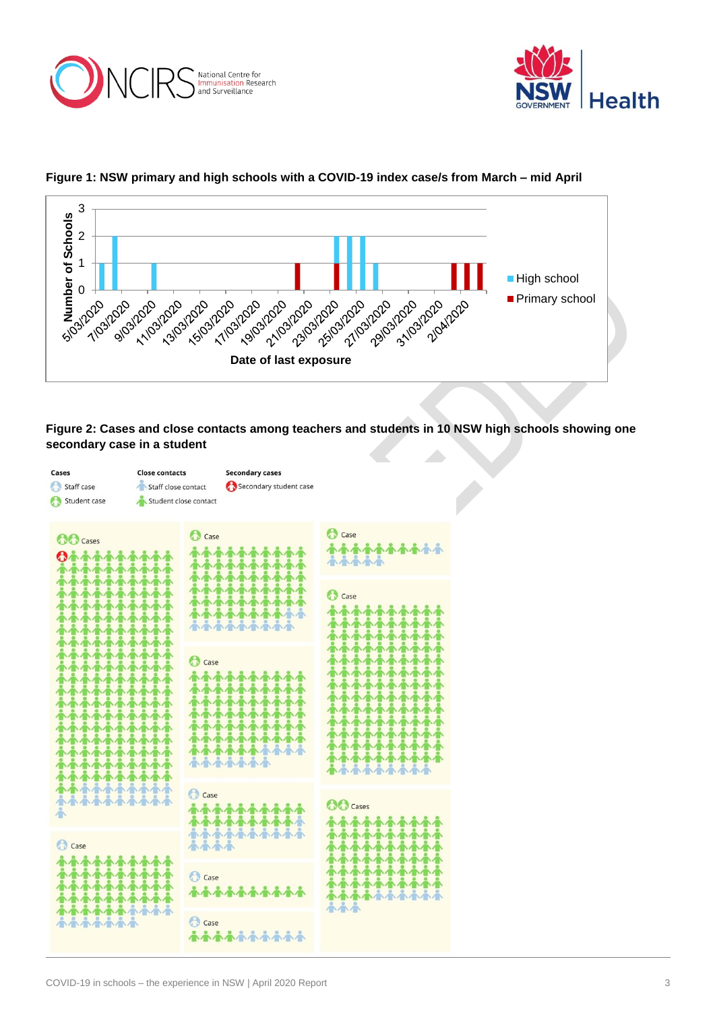





#### **Figure 1: NSW primary and high schools with a COVID-19 index case/s from March – mid April**



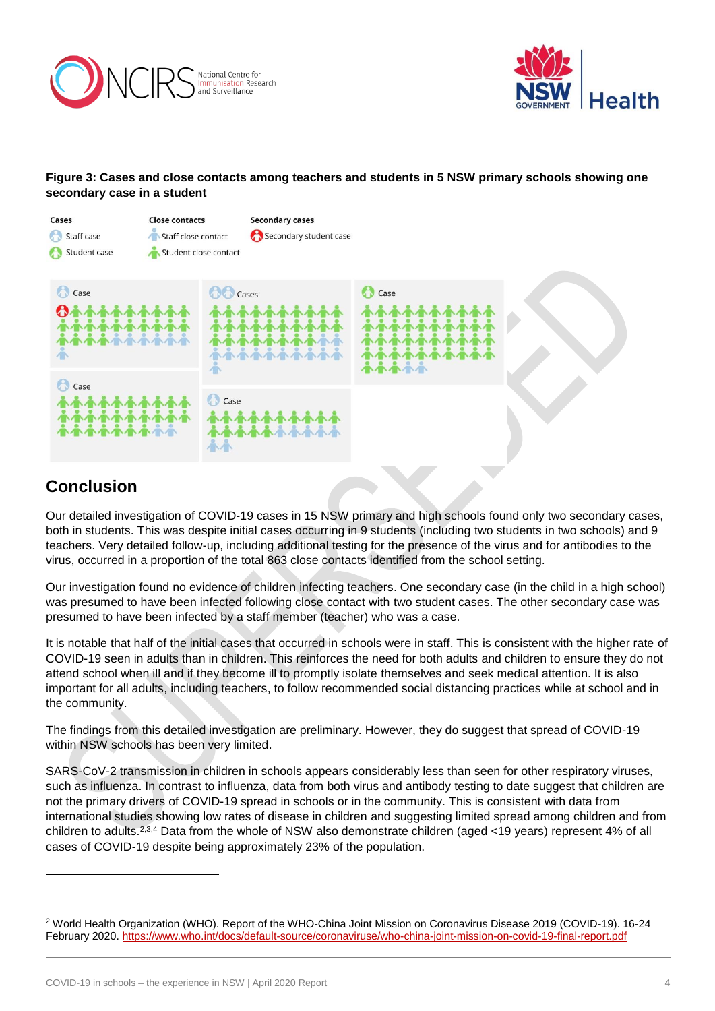



### **Figure 3: Cases and close contacts among teachers and students in 5 NSW primary schools showing one secondary case in a student**



# **Conclusion**

-

Our detailed investigation of COVID-19 cases in 15 NSW primary and high schools found only two secondary cases, both in students. This was despite initial cases occurring in 9 students (including two students in two schools) and 9 teachers. Very detailed follow-up, including additional testing for the presence of the virus and for antibodies to the virus, occurred in a proportion of the total 863 close contacts identified from the school setting.

Our investigation found no evidence of children infecting teachers. One secondary case (in the child in a high school) was presumed to have been infected following close contact with two student cases. The other secondary case was presumed to have been infected by a staff member (teacher) who was a case.

It is notable that half of the initial cases that occurred in schools were in staff. This is consistent with the higher rate of COVID-19 seen in adults than in children. This reinforces the need for both adults and children to ensure they do not attend school when ill and if they become ill to promptly isolate themselves and seek medical attention. It is also important for all adults, including teachers, to follow recommended social distancing practices while at school and in the community.

The findings from this detailed investigation are preliminary. However, they do suggest that spread of COVID-19 within NSW schools has been very limited.

SARS-CoV-2 transmission in children in schools appears considerably less than seen for other respiratory viruses, such as influenza. In contrast to influenza, data from both virus and antibody testing to date suggest that children are not the primary drivers of COVID-19 spread in schools or in the community. This is consistent with data from international studies showing low rates of disease in children and suggesting limited spread among children and from children to adults.<sup>2,3,4</sup> Data from the whole of NSW also demonstrate children (aged <19 years) represent 4% of all cases of COVID-19 despite being approximately 23% of the population.

<sup>2</sup> World Health Organization (WHO). Report of the WHO-China Joint Mission on Coronavirus Disease 2019 (COVID-19). 16-24 February 2020.<https://www.who.int/docs/default-source/coronaviruse/who-china-joint-mission-on-covid-19-final-report.pdf>